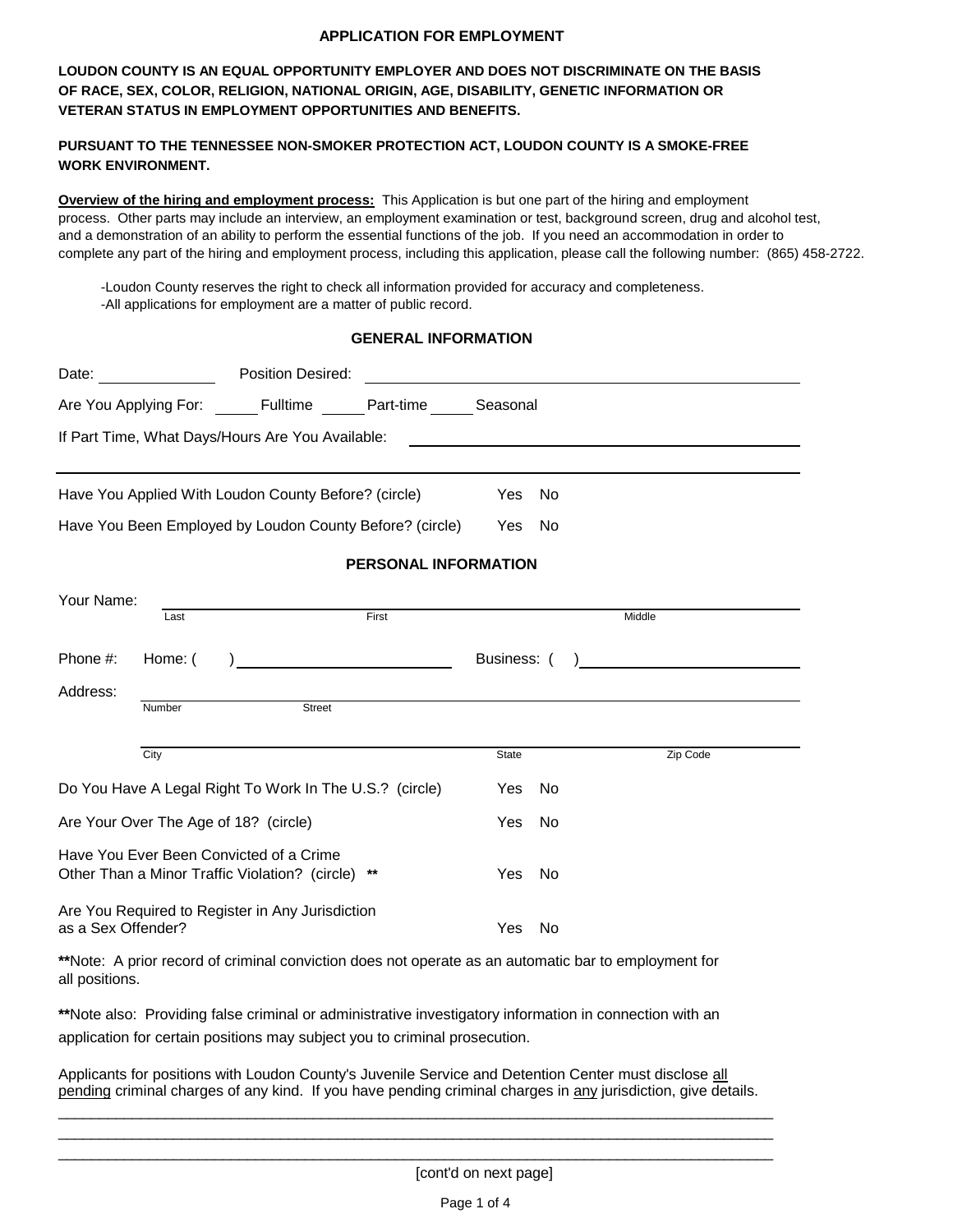#### **APPLICATION FOR EMPLOYMENT**

**LOUDON COUNTY IS AN EQUAL OPPORTUNITY EMPLOYER AND DOES NOT DISCRIMINATE ON THE BASIS OF RACE, SEX, COLOR, RELIGION, NATIONAL ORIGIN, AGE, DISABILITY, GENETIC INFORMATION OR VETERAN STATUS IN EMPLOYMENT OPPORTUNITIES AND BENEFITS.**

## **PURSUANT TO THE TENNESSEE NON-SMOKER PROTECTION ACT, LOUDON COUNTY IS A SMOKE-FREE WORK ENVIRONMENT.**

**Overview of the hiring and employment process:** This Application is but one part of the hiring and employment process. Other parts may include an interview, an employment examination or test, background screen, drug and alcohol test, and a demonstration of an ability to perform the essential functions of the job. If you need an accommodation in order to complete any part of the hiring and employment process, including this application, please call the following number: (865) 458-2722.

-Loudon County reserves the right to check all information provided for accuracy and completeness. -All applications for employment are a matter of public record.

## **GENERAL INFORMATION**

| Date: the contract of the contract of the contract of the contract of the contract of the contract of the contract of the contract of the contract of the contract of the contract of the contract of the contract of the cont | Position Desired:                                                      |                      |           |          |  |
|--------------------------------------------------------------------------------------------------------------------------------------------------------------------------------------------------------------------------------|------------------------------------------------------------------------|----------------------|-----------|----------|--|
|                                                                                                                                                                                                                                | Are You Applying For: ______ Fulltime ______ Part-time ______ Seasonal |                      |           |          |  |
| If Part Time, What Days/Hours Are You Available:                                                                                                                                                                               |                                                                        |                      |           |          |  |
|                                                                                                                                                                                                                                |                                                                        |                      |           |          |  |
|                                                                                                                                                                                                                                | Have You Applied With Loudon County Before? (circle)                   | <b>Yes</b>           | No        |          |  |
|                                                                                                                                                                                                                                | Have You Been Employed by Loudon County Before? (circle)               | Yes                  | <b>No</b> |          |  |
|                                                                                                                                                                                                                                |                                                                        | PERSONAL INFORMATION |           |          |  |
| Your Name:                                                                                                                                                                                                                     |                                                                        |                      |           |          |  |
| Last                                                                                                                                                                                                                           | First                                                                  |                      |           | Middle   |  |
| Phone #:<br>Home: (                                                                                                                                                                                                            |                                                                        | Business: (          |           |          |  |
| Address:                                                                                                                                                                                                                       |                                                                        |                      |           |          |  |
| Number                                                                                                                                                                                                                         | Street                                                                 |                      |           |          |  |
| City                                                                                                                                                                                                                           |                                                                        | State                |           | Zip Code |  |
|                                                                                                                                                                                                                                | Do You Have A Legal Right To Work In The U.S.? (circle)                | Yes                  | No        |          |  |
| Are Your Over The Age of 18? (circle)                                                                                                                                                                                          |                                                                        | <b>Yes</b>           | <b>No</b> |          |  |
| Have You Ever Been Convicted of a Crime                                                                                                                                                                                        |                                                                        |                      |           |          |  |
| Other Than a Minor Traffic Violation? (circle) **                                                                                                                                                                              |                                                                        | Yes                  | No        |          |  |
| Are You Required to Register in Any Jurisdiction<br>as a Sex Offender?                                                                                                                                                         |                                                                        | Yes                  | No.       |          |  |

**\*\***Note: A prior record of criminal conviction does not operate as an automatic bar to employment for all positions.

**\*\***Note also: Providing false criminal or administrative investigatory information in connection with an application for certain positions may subject you to criminal prosecution.

Applicants for positions with Loudon County's Juvenile Service and Detention Center must disclose all pending criminal charges of any kind. If you have pending criminal charges in any jurisdiction, give details.

\_\_\_\_\_\_\_\_\_\_\_\_\_\_\_\_\_\_\_\_\_\_\_\_\_\_\_\_\_\_\_\_\_\_\_\_\_\_\_\_\_\_\_\_\_\_\_\_\_\_\_\_\_\_\_\_\_\_\_\_\_\_\_\_\_\_\_\_\_\_\_\_\_\_\_\_\_\_\_\_\_\_\_\_\_\_\_ \_\_\_\_\_\_\_\_\_\_\_\_\_\_\_\_\_\_\_\_\_\_\_\_\_\_\_\_\_\_\_\_\_\_\_\_\_\_\_\_\_\_\_\_\_\_\_\_\_\_\_\_\_\_\_\_\_\_\_\_\_\_\_\_\_\_\_\_\_\_\_\_\_\_\_\_\_\_\_\_\_\_\_\_\_\_\_ \_\_\_\_\_\_\_\_\_\_\_\_\_\_\_\_\_\_\_\_\_\_\_\_\_\_\_\_\_\_\_\_\_\_\_\_\_\_\_\_\_\_\_\_\_\_\_\_\_\_\_\_\_\_\_\_\_\_\_\_\_\_\_\_\_\_\_\_\_\_\_\_\_\_\_\_\_\_\_\_\_\_\_\_\_\_\_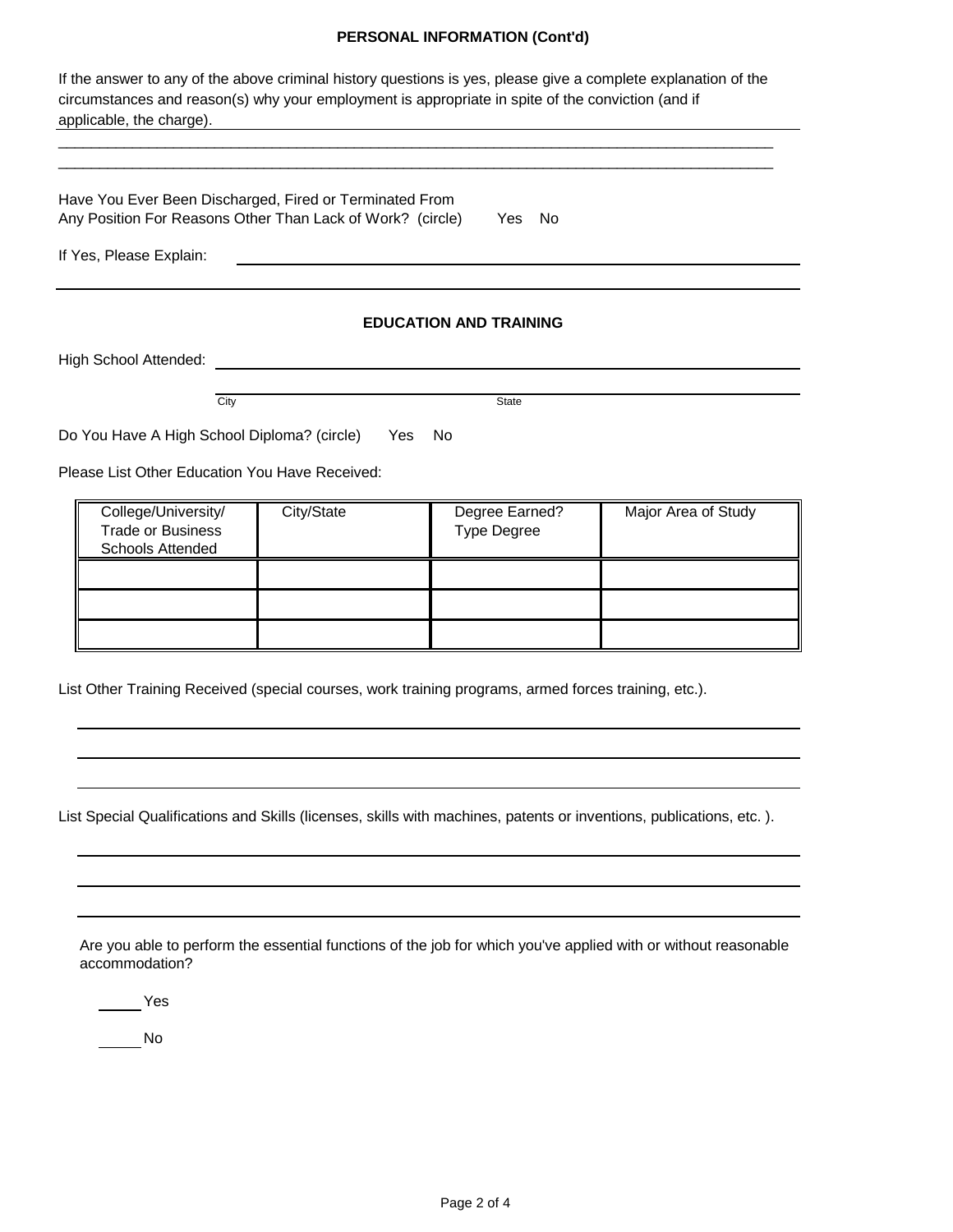## **PERSONAL INFORMATION (Cont'd)**

| If the answer to any of the above criminal history questions is yes, please give a complete explanation of the<br>circumstances and reason(s) why your employment is appropriate in spite of the conviction (and if<br>applicable, the charge). |            |                                      |                     |
|-------------------------------------------------------------------------------------------------------------------------------------------------------------------------------------------------------------------------------------------------|------------|--------------------------------------|---------------------|
| Have You Ever Been Discharged, Fired or Terminated From<br>Any Position For Reasons Other Than Lack of Work? (circle)                                                                                                                           |            | - No<br>Yes                          |                     |
| If Yes, Please Explain:                                                                                                                                                                                                                         |            |                                      |                     |
|                                                                                                                                                                                                                                                 |            | <b>EDUCATION AND TRAINING</b>        |                     |
| High School Attended:                                                                                                                                                                                                                           |            |                                      |                     |
| City                                                                                                                                                                                                                                            |            | State                                |                     |
| Do You Have A High School Diploma? (circle)                                                                                                                                                                                                     | Yes        | No                                   |                     |
| Please List Other Education You Have Received:                                                                                                                                                                                                  |            |                                      |                     |
| College/University/<br><b>Trade or Business</b><br><b>Schools Attended</b>                                                                                                                                                                      | City/State | Degree Earned?<br><b>Type Degree</b> | Major Area of Study |
|                                                                                                                                                                                                                                                 |            |                                      |                     |
|                                                                                                                                                                                                                                                 |            |                                      |                     |
|                                                                                                                                                                                                                                                 |            |                                      |                     |

List Other Training Received (special courses, work training programs, armed forces training, etc.).

List Special Qualifications and Skills (licenses, skills with machines, patents or inventions, publications, etc. ).

Are you able to perform the essential functions of the job for which you've applied with or without reasonable accommodation?

Yes

No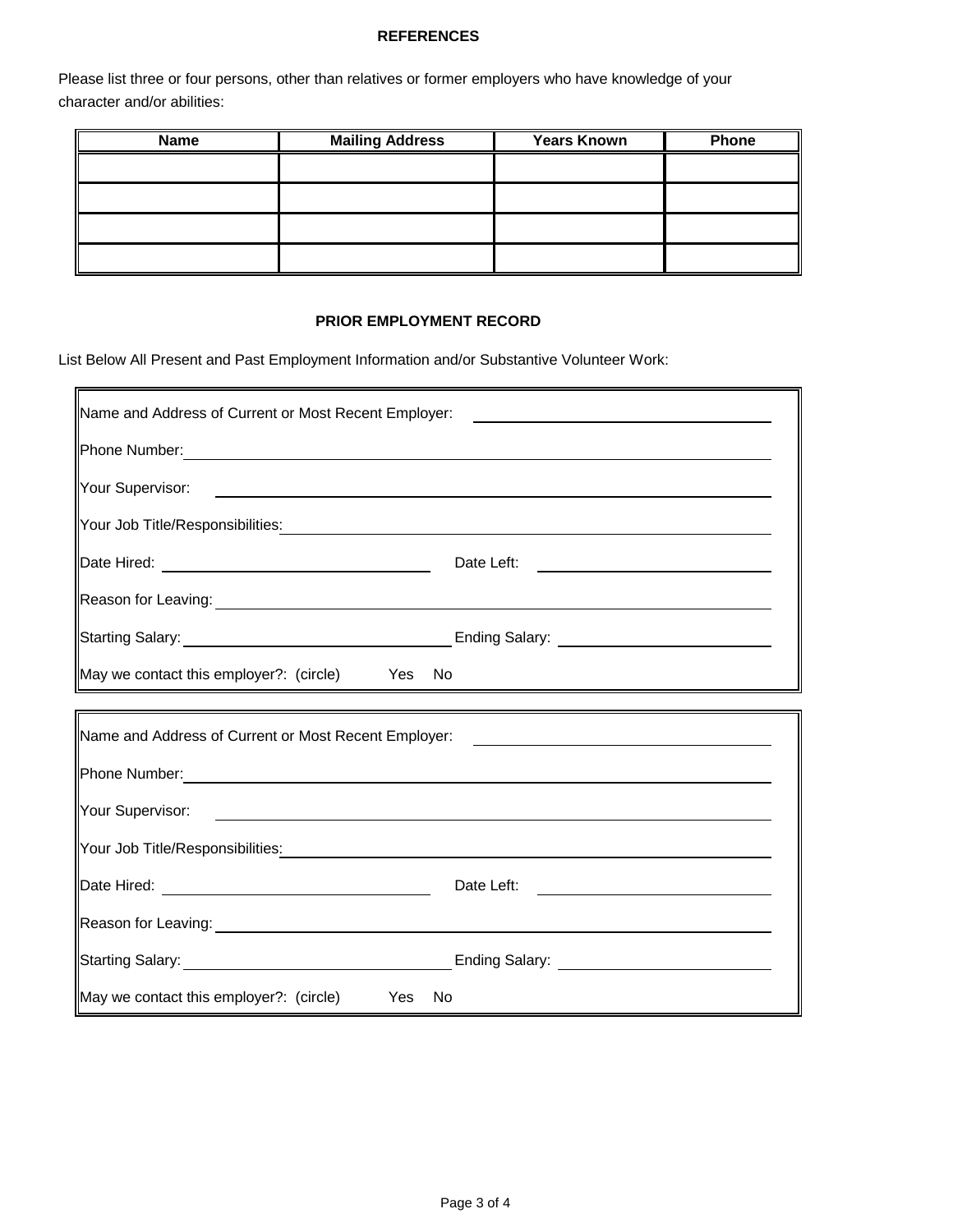# **REFERENCES**

Please list three or four persons, other than relatives or former employers who have knowledge of your character and/or abilities:

| <b>Name</b> | <b>Mailing Address</b> | <b>Years Known</b> | Phone |
|-------------|------------------------|--------------------|-------|
|             |                        |                    |       |
|             |                        |                    |       |
|             |                        |                    |       |
|             |                        |                    |       |
|             |                        |                    |       |

#### **PRIOR EMPLOYMENT RECORD**

List Below All Present and Past Employment Information and/or Substantive Volunteer Work:

| Name and Address of Current or Most Recent Employer:                                                                                                                                                                                  | <u> 1980 - Andrea Andrew Maria (h. 1980).</u>         |
|---------------------------------------------------------------------------------------------------------------------------------------------------------------------------------------------------------------------------------------|-------------------------------------------------------|
|                                                                                                                                                                                                                                       |                                                       |
| Your Supervisor:<br><u> 1980 - Johann Barn, mars ann an t-Amhainn an t-Amhainn an t-Amhainn an t-Amhainn an t-Amhainn an t-Amhainn an </u>                                                                                            |                                                       |
| Your Job Title/Responsibilities <u>: with the set of the set of the set of the set of the set of the set of the set of the set of the set of the set of the set of the set of the set of the set of the set of the set of the set</u> |                                                       |
|                                                                                                                                                                                                                                       | Date Left:                                            |
| Reason for Leaving: <u>Contract Community of the Contract Community of the Contract Community of the Contract Co</u>                                                                                                                  |                                                       |
| Starting Salary: <u>Containing Salary:</u> Ending Salary: Containing Salary: Containing Salary: Containing Salary: Containing Salary: Containing Salary: Containing Salary: Containing Salary: Containing Salary: Containing Salary   |                                                       |
| May we contact this employer?: (circle) Yes No                                                                                                                                                                                        |                                                       |
|                                                                                                                                                                                                                                       |                                                       |
| Name and Address of Current or Most Recent Employer: ___________________________                                                                                                                                                      |                                                       |
| Phone Number: New York Changes and Changes and Changes and Changes and Changes and Changes and Changes and Changes and Changes and Changes and Changes and Changes and Changes and Changes and Changes and Changes and Changes        |                                                       |
|                                                                                                                                                                                                                                       |                                                       |
|                                                                                                                                                                                                                                       |                                                       |
|                                                                                                                                                                                                                                       | Date Left:<br><u> 1989 - Andrea Station Barbara (</u> |
|                                                                                                                                                                                                                                       |                                                       |
|                                                                                                                                                                                                                                       |                                                       |
| May we contact this employer?: (circle) Yes No                                                                                                                                                                                        |                                                       |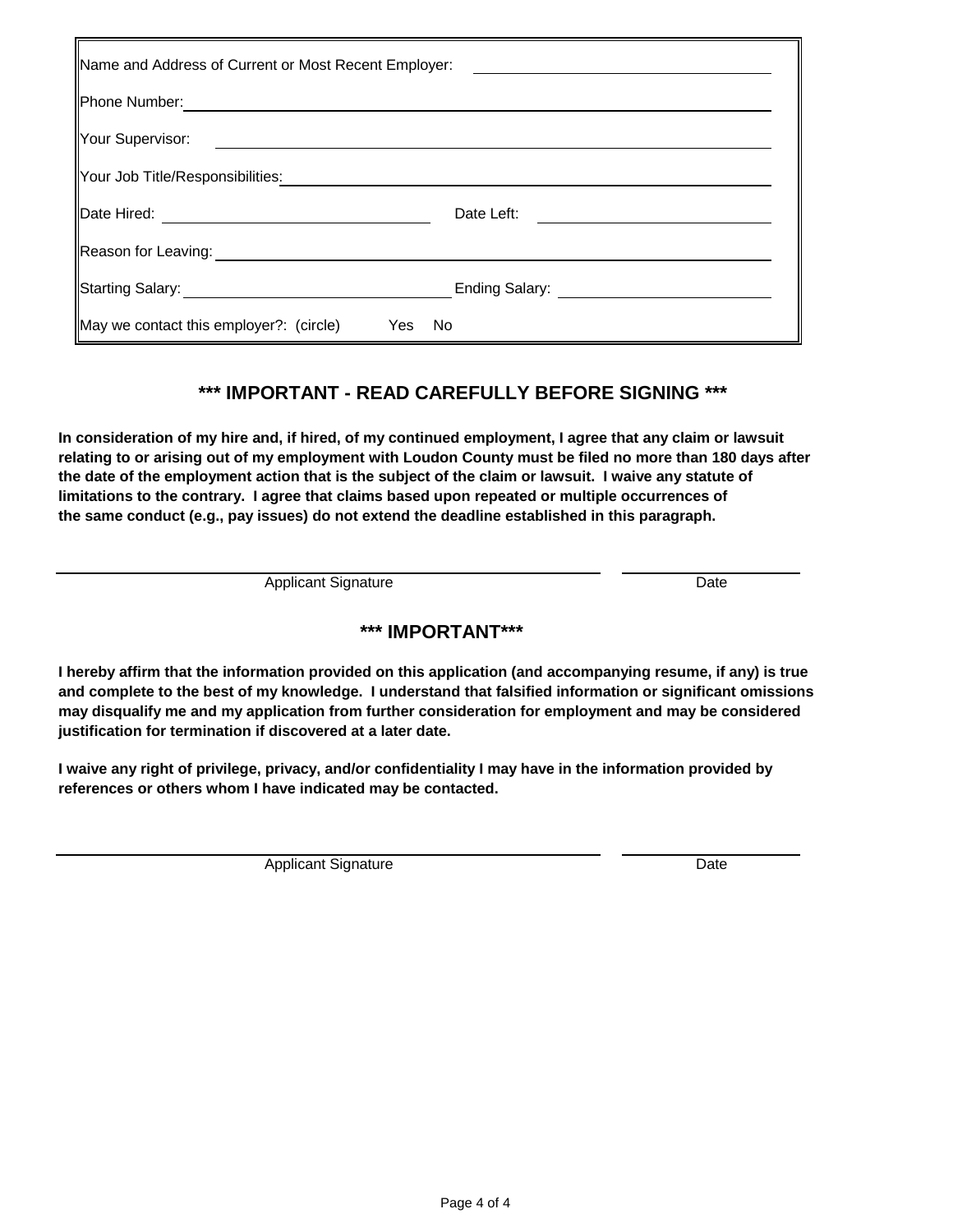| Name and Address of Current or Most Recent Employer: |                            |
|------------------------------------------------------|----------------------------|
| Phone Number:                                        |                            |
| Your Supervisor:                                     |                            |
| Your Job Title/Responsibilities:                     |                            |
| Date Hired:                                          | Date Left:                 |
| Reason for Leaving:                                  |                            |
| Starting Salary: __________                          | Ending Salary: ___________ |
| May we contact this employer?: (circle)<br>Yes       | No                         |

# **\*\*\* IMPORTANT - READ CAREFULLY BEFORE SIGNING \*\*\***

**In consideration of my hire and, if hired, of my continued employment, I agree that any claim or lawsuit relating to or arising out of my employment with Loudon County must be filed no more than 180 days after the date of the employment action that is the subject of the claim or lawsuit. I waive any statute of limitations to the contrary. I agree that claims based upon repeated or multiple occurrences of the same conduct (e.g., pay issues) do not extend the deadline established in this paragraph.**

Applicant Signature Date

# **\*\*\* IMPORTANT\*\*\***

**I hereby affirm that the information provided on this application (and accompanying resume, if any) is true and complete to the best of my knowledge. I understand that falsified information or significant omissions may disqualify me and my application from further consideration for employment and may be considered justification for termination if discovered at a later date.**

**I waive any right of privilege, privacy, and/or confidentiality I may have in the information provided by references or others whom I have indicated may be contacted.**

Applicant Signature Date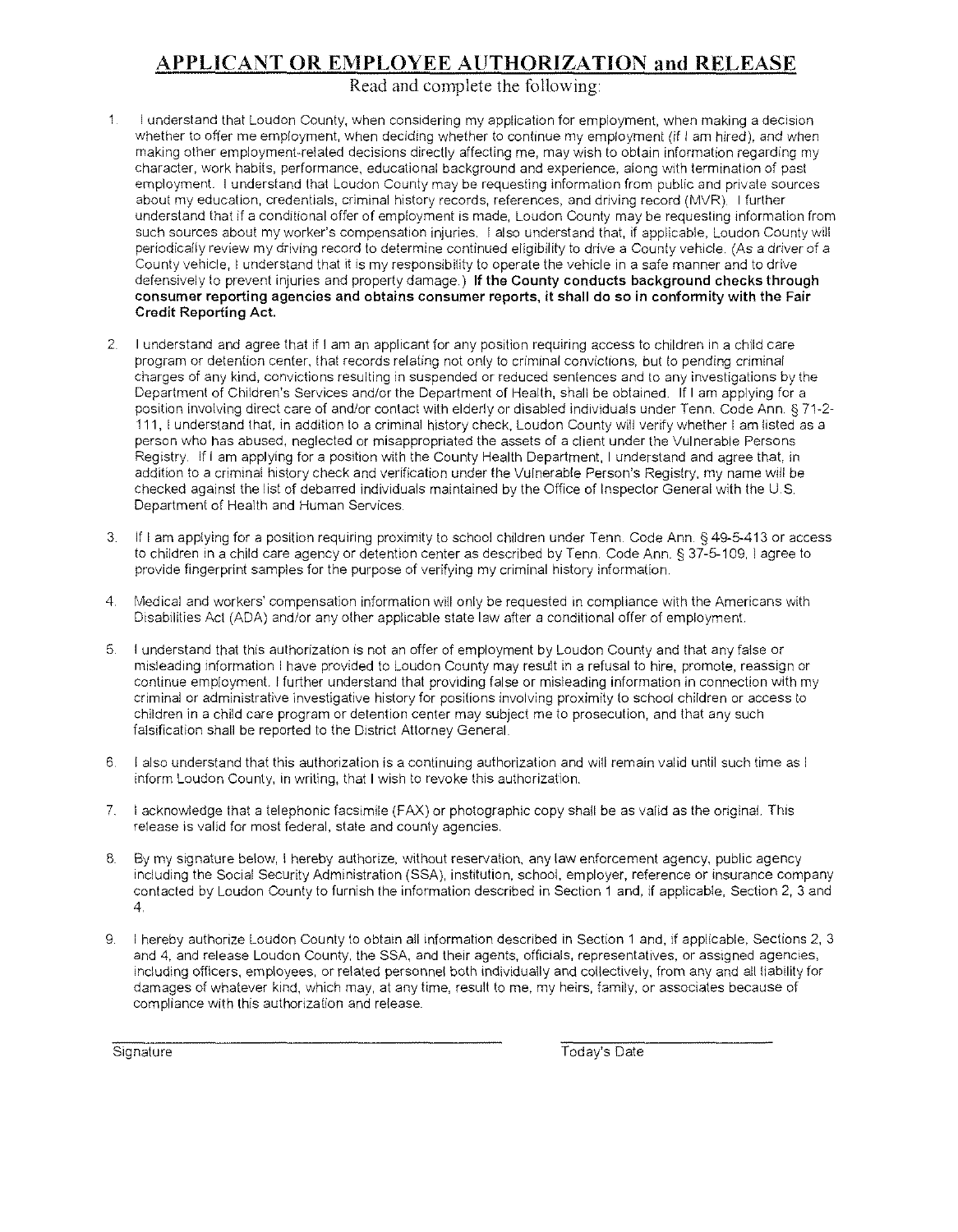# APPLICANT OR EMPLOYEE AUTHORIZATION and RELEASE

Read and complete the following

- $\mathbf{1}$ I understand that Loudon County, when considering my application for employment, when making a decision whether to offer me employment, when deciding whether to continue my employment (if I am hired), and when making other employment-related decisions directly affecting me, may wish to obtain information regarding my character, work habits, performance, educational background and experience, along with termination of past employment. I understand that Loudon County may be requesting information from public and private sources about my education, credentials, criminal history records, references, and driving record (MVR). I further understand that if a conditional offer of employment is made, Loudon County may be requesting information from such sources about my worker's compensation injuries. 1 also understand that, if applicable, Loudon County will periodically review my driving record to determine continued eligibility to drive a County vehicle. (As a driver of a County vehicle, I understand that it is my responsibility to operate the vehicle in a safe manner and to drive defensively to prevent injuries and property damage.) If the County conducts background checks through **consumer reporting agencies and obtains consumer reports, it shall do so in conformity with the Fair**  Credit Reporting Act.
- 2. I understand and agree that if I am an applicant for any position requiring access to children in a child care program or detention center, that records relating not only to criminal convictions, but to pending criminal charges of any kind, convictions resulting in suspended or reduced sentences and to any investigations by the Department of Children's Services and/or the Department of Health, shall be obtarned. If I am applying for a position involving direct care of and/or contact with elderly or disabled individuals under Tenn. Code Ann. § 71-2- 111, I understand that, rn addrtion to a criminal history check, Loudon County will verify whether I am listed as a person who has abused, neglected or misappropriated the assets of a client under the Vulnerable Persons Registry. If I am applying for a position with the County Health Department, I understand and agree that, in addition to a criminal history check and verification under the Vulnerable Person's Registry, my name will be checked against the list of debarred individuals maintained by the Office of Inspector General with the U.S Department of Health and Human Services.
- 3. If I am applying for a position requiring proximity to school children under Tenn. Code Ann.§ 49-5-413 or access to children in a child care agency or detention center as described by Tenn. Code Ann.§ 37-5-109, I agree to provide fingerprint samples for the purpose of verifying my criminal history information.
- 4. Medical and workers' compensation information will only be requested in compliance with the Americans with Disabilities Act (ADA) and/or any other applicable state law after a conditional offer of employment.
- 5. I understand that this authorization is not an offer of employment by Loudon County and that any false or misleading information I have provided to Loudon County may result in a refusal to hire, promote, reassign or continue employment. J further understand that providing false or misleading information in connection with my criminal or administrative investigative history for positions involving proximity to school children or access to children in a child care program or detention center may subject me to prosecution, and that any such falsification shall be reported to the District Attorney General.
- 6 I also understand that this authorization is a continuing authorization and will remain valid until such time as I inform Loudon County, in writing, that I wish to revoke this authorization.
- 7. I acknowledge that a telephonic facsimile (FAX) or photographic copy shall be as valid as the original. This release is valid for most federal, state and county agencies.
- 8. By my signature below, I hereby authorize, without reservation, any law enforcement agency, public agency including the Social Security Administration (SSA), institution, school, employer, reference or insurance company contacted by Loudon County to furnish the information described in Section 1 and, if applicable, Section 2, 3 and 4.
- 9. I hereby authorize Loudon County to obtain all information described in Section 1 and, if applicable, Sections 2, 3 and 4, and release Loudon County, the SSA, and their agents, officials, representatives, or assigned agencies, including officers, employees, or related personnel both individually and collectively, from any and all liability for damages of whatever kind, which may, at any time, result to me, my heirs, family, or associates because of compliance with this authorization and release

Signature Today's Date